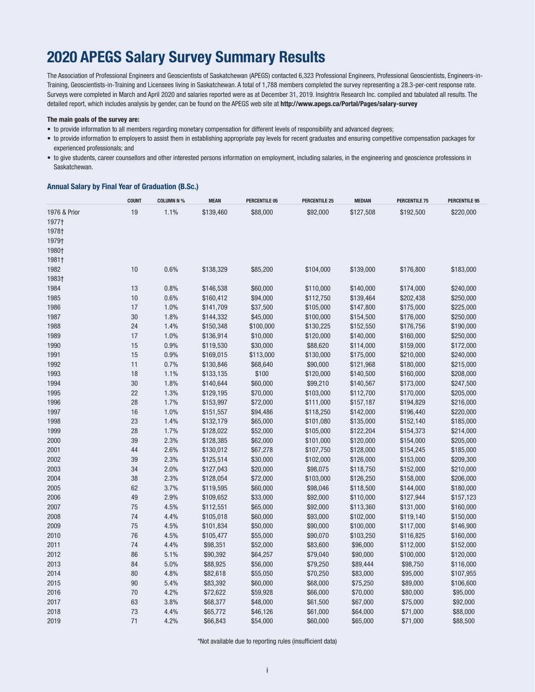# **2020 APEGS Salary Survey Summary Results**

The Association of Professional Engineers and Geoscientists of Saskatchewan (APEGS) contacted 6,323 Professional Engineers, Professional Geoscientists, Engineers-in-Training, Geoscientists-in-Training and Licensees living in Saskatchewan. A total of 1,788 members completed the survey representing a 28.3-per-cent response rate. Surveys were completed in March and April 2020 and salaries reported were as at December 31, 2019. Insightrix Research Inc. compiled and tabulated all results. The detailed report, which includes analysis by gender, can be found on the APEGS web site at **http://www.apegs.ca/Portal/Pages/salary-survey**

#### **The main goals of the survey are:**

- to provide information to all members regarding monetary compensation for different levels of responsibility and advanced degrees;
- to provide information to employers to assist them in establishing appropriate pay levels for recent graduates and ensuring competitive compensation packages for experienced professionals; and
- to give students, career counsellors and other interested persons information on employment, including salaries, in the engineering and geoscience professions in Saskatchewan.

#### **Annual Salary by Final Year of Graduation (B.Sc.)**

|              | <b>COUNT</b> | <b>COLUMN N %</b> | <b>MEAN</b> | <b>PERCENTILE 05</b> | <b>PERCENTILE 25</b> | <b>MEDIAN</b> | <b>PERCENTILE 75</b> | <b>PERCENTILE 95</b> |
|--------------|--------------|-------------------|-------------|----------------------|----------------------|---------------|----------------------|----------------------|
| 1976 & Prior | 19           | 1.1%              | \$139,460   | \$88,000             | \$92,000             | \$127,508     | \$192,500            | \$220,000            |
| 1977†        |              |                   |             |                      |                      |               |                      |                      |
| 1978†        |              |                   |             |                      |                      |               |                      |                      |
| 1979†        |              |                   |             |                      |                      |               |                      |                      |
| 1980†        |              |                   |             |                      |                      |               |                      |                      |
| 1981†        |              |                   |             |                      |                      |               |                      |                      |
| 1982         | 10           | 0.6%              | \$138,329   | \$85,200             | \$104,000            | \$139,000     | \$176,800            | \$183,000            |
| 1983†        |              |                   |             |                      |                      |               |                      |                      |
| 1984         | 13           | 0.8%              | \$146,538   | \$60,000             | \$110,000            | \$140,000     | \$174,000            | \$240,000            |
| 1985         | 10           | 0.6%              | \$160,412   | \$94,000             | \$112,750            | \$139,464     | \$202,438            | \$250,000            |
| 1986         | 17           | 1.0%              | \$141,709   | \$37,500             | \$105,000            | \$147,800     | \$175,000            | \$225,000            |
| 1987         | 30           | 1.8%              | \$144,332   | \$45,000             | \$100,000            | \$154,500     | \$176,000            | \$250,000            |
| 1988         | 24           | 1.4%              | \$150,348   | \$100,000            | \$130,225            | \$152,550     | \$176,756            | \$190,000            |
| 1989         | 17           | 1.0%              | \$136,914   | \$10,000             | \$120,000            | \$140,000     | \$160,000            | \$250,000            |
| 1990         | 15           | 0.9%              | \$119,530   | \$30,000             | \$88,620             | \$114,000     | \$159,000            | \$172,000            |
| 1991         | 15           | 0.9%              | \$169,015   | \$113,000            | \$130,000            | \$175,000     | \$210,000            | \$240,000            |
| 1992         | 11           | 0.7%              | \$130,846   | \$68,640             | \$90,000             | \$121,968     | \$180,000            | \$215,000            |
| 1993         | 18           | 1.1%              | \$133,135   | \$100                | \$120,000            | \$140,500     | \$160,000            | \$208,000            |
| 1994         | 30           | 1.8%              | \$140,644   | \$60,000             | \$99,210             | \$140,567     | \$173,000            | \$247,500            |
| 1995         | 22           | 1.3%              | \$129,195   | \$70,000             | \$103,000            | \$112,700     | \$170,000            | \$205,000            |
| 1996         | 28           | 1.7%              | \$153,997   | \$72,000             | \$111,000            | \$157,187     | \$194,829            | \$216,000            |
| 1997         | 16           | 1.0%              | \$151,557   | \$94,486             | \$118,250            | \$142,000     | \$196,440            | \$220,000            |
| 1998         | 23           | 1.4%              | \$132,179   | \$65,000             | \$101,080            | \$135,000     | \$152,140            | \$185,000            |
| 1999         | 28           | 1.7%              | \$128,022   | \$52,000             | \$105,000            | \$122,204     | \$154,373            | \$214,000            |
| 2000         | 39           | 2.3%              | \$128,385   | \$62,000             | \$101,000            | \$120,000     | \$154,000            | \$205,000            |
| 2001         | 44           | 2.6%              | \$130,012   | \$67,278             | \$107,750            | \$128,000     | \$154,245            | \$185,000            |
| 2002         | 39           | 2.3%              | \$125,514   | \$30,000             | \$102,000            | \$126,000     | \$153,000            | \$209,300            |
| 2003         | 34           | 2.0%              | \$127,043   | \$20,000             | \$98,075             | \$118,750     | \$152,000            | \$210,000            |
| 2004         | 38           | 2.3%              | \$128,054   | \$72,000             | \$103,000            | \$126,250     | \$158,000            | \$206,000            |
| 2005         | 62           | 3.7%              | \$119,595   | \$60,000             | \$98,046             | \$118,500     | \$144,000            | \$180,000            |
| 2006         | 49           | 2.9%              | \$109,652   | \$33,000             | \$92,000             | \$110,000     | \$127,944            | \$157,123            |
| 2007         | 75           | 4.5%              | \$112,551   | \$65,000             | \$92,000             | \$113,360     | \$131,000            | \$160,000            |
| 2008         | 74           | 4.4%              | \$105,018   | \$60,000             | \$93,000             | \$102,000     | \$119,140            | \$150,000            |
| 2009         | 75           | 4.5%              | \$101,834   | \$50,000             | \$90,000             | \$100,000     | \$117,000            | \$146,900            |
| 2010         | 76           | 4.5%              | \$105,477   | \$55,000             | \$90,070             | \$103,250     | \$116,825            | \$160,000            |
| 2011         | 74           | 4.4%              | \$98,351    | \$52,000             | \$83,600             | \$96,000      | \$112,000            | \$152,000            |
| 2012         | 86           | 5.1%              | \$90,392    | \$64,257             | \$79,040             | \$90,000      | \$100,000            | \$120,000            |
| 2013         | 84           | 5.0%              | \$88,925    | \$56,000             | \$79,250             | \$89,444      | \$98,750             | \$116,000            |
| 2014         | 80           | 4.8%              | \$82,618    | \$55,050             | \$70,250             | \$83,000      | \$95,000             | \$107,955            |
| 2015         | 90           | 5.4%              | \$83,392    | \$60,000             | \$68,000             | \$75,250      | \$89,000             | \$106,600            |
| 2016         | 70           | 4.2%              | \$72,622    | \$59,928             | \$66,000             | \$70,000      | \$80,000             | \$95,000             |
| 2017         | 63           | 3.8%              | \$68,377    | \$48,000             | \$61,500             | \$67,000      | \$75,000             | \$92,000             |
| 2018         | 73           | 4.4%              | \$65,772    | \$46,126             | \$61,000             | \$64,000      | \$71,000             | \$88,000             |
| 2019         | 71           | 4.2%              | \$66,843    | \$54,000             | \$60,000             | \$65,000      | \$71,000             | \$88,500             |

\*Not available due to reporting rules (insufficient data)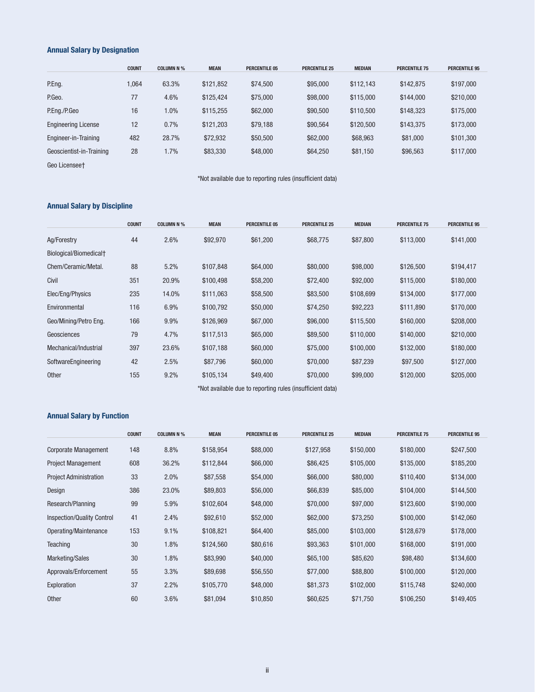### **Annual Salary by Designation**

|                            | <b>COUNT</b> | <b>COLUMN N %</b> | <b>MEAN</b> | <b>PERCENTILE 05</b> | <b>PERCENTILE 25</b> | <b>MEDIAN</b> | <b>PERCENTILE 75</b> | <b>PERCENTILE 95</b> |
|----------------------------|--------------|-------------------|-------------|----------------------|----------------------|---------------|----------------------|----------------------|
| P.Eng.                     | .064         | 63.3%             | \$121,852   | \$74,500             | \$95,000             | \$112.143     | \$142,875            | \$197,000            |
| P.Geo.                     | 77           | 4.6%              | \$125.424   | \$75,000             | \$98,000             | \$115,000     | \$144,000            | \$210,000            |
| P.Eng./P.Geo               | 16           | 1.0%              | \$115.255   | \$62,000             | \$90,500             | \$110.500     | \$148.323            | \$175,000            |
| <b>Engineering License</b> | 12           | 0.7%              | \$121.203   | \$79,188             | \$90,564             | \$120,500     | \$143.375            | \$173,000            |
| Engineer-in-Training       | 482          | 28.7%             | \$72,932    | \$50,500             | \$62,000             | \$68,963      | \$81,000             | \$101.300            |
| Geoscientist-in-Training   | 28           | 1.7%              | \$83,330    | \$48,000             | \$64,250             | \$81,150      | \$96,563             | \$117,000            |

Geo Licensee†

\*Not available due to reporting rules (insufficient data)

### **Annual Salary by Discipline**

|                                    | <b>COUNT</b> | <b>COLUMN N %</b> | <b>MEAN</b> | <b>PERCENTILE 05</b> | <b>PERCENTILE 25</b> | <b>MEDIAN</b> | <b>PERCENTILE 75</b> | <b>PERCENTILE 95</b> |
|------------------------------------|--------------|-------------------|-------------|----------------------|----------------------|---------------|----------------------|----------------------|
| Ag/Forestry                        | 44           | 2.6%              | \$92,970    | \$61,200             | \$68,775             | \$87,800      | \$113,000            | \$141,000            |
| Biological/Biomedical <sup>+</sup> |              |                   |             |                      |                      |               |                      |                      |
| Chem/Ceramic/Metal.                | 88           | 5.2%              | \$107,848   | \$64,000             | \$80,000             | \$98,000      | \$126,500            | \$194,417            |
| Civil                              | 351          | 20.9%             | \$100,498   | \$58,200             | \$72,400             | \$92,000      | \$115,000            | \$180,000            |
| Elec/Eng/Physics                   | 235          | 14.0%             | \$111,063   | \$58,500             | \$83,500             | \$108,699     | \$134,000            | \$177,000            |
| Environmental                      | 116          | 6.9%              | \$100,792   | \$50,000             | \$74,250             | \$92,223      | \$111,890            | \$170,000            |
| Geo/Mining/Petro Eng.              | 166          | 9.9%              | \$126,969   | \$67,000             | \$96,000             | \$115,500     | \$160,000            | \$208,000            |
| Geosciences                        | 79           | 4.7%              | \$117,513   | \$65,000             | \$89,500             | \$110,000     | \$140,000            | \$210,000            |
| Mechanical/Industrial              | 397          | 23.6%             | \$107,188   | \$60,000             | \$75,000             | \$100,000     | \$132,000            | \$180,000            |
| SoftwareEngineering                | 42           | 2.5%              | \$87,796    | \$60,000             | \$70,000             | \$87,239      | \$97,500             | \$127,000            |
| <b>Other</b>                       | 155          | 9.2%              | \$105,134   | \$49,400             | \$70,000             | \$99,000      | \$120,000            | \$205,000            |

\*Not available due to reporting rules (insufficient data)

### **Annual Salary by Function**

|                                   | <b>COUNT</b> | <b>COLUMN N %</b> | <b>MEAN</b> | <b>PERCENTILE 05</b> | <b>PERCENTILE 25</b> | <b>MEDIAN</b> | <b>PERCENTILE 75</b> | <b>PERCENTILE 95</b> |
|-----------------------------------|--------------|-------------------|-------------|----------------------|----------------------|---------------|----------------------|----------------------|
| <b>Corporate Management</b>       | 148          | 8.8%              | \$158,954   | \$88,000             | \$127,958            | \$150,000     | \$180,000            | \$247,500            |
| <b>Project Management</b>         | 608          | 36.2%             | \$112,844   | \$66,000             | \$86,425             | \$105,000     | \$135,000            | \$185,200            |
| <b>Project Administration</b>     | 33           | 2.0%              | \$87,558    | \$54,000             | \$66,000             | \$80,000      | \$110,400            | \$134,000            |
| Design                            | 386          | 23.0%             | \$89,803    | \$56,000             | \$66,839             | \$85,000      | \$104,000            | \$144,500            |
| Research/Planning                 | 99           | 5.9%              | \$102,604   | \$48,000             | \$70,000             | \$97,000      | \$123,600            | \$190,000            |
| <b>Inspection/Quality Control</b> | 41           | 2.4%              | \$92,610    | \$52,000             | \$62,000             | \$73,250      | \$100,000            | \$142,060            |
| Operating/Maintenance             | 153          | 9.1%              | \$108,821   | \$64,400             | \$85,000             | \$103,000     | \$128,679            | \$178,000            |
| <b>Teaching</b>                   | 30           | 1.8%              | \$124,560   | \$80,616             | \$93,363             | \$101,000     | \$168,000            | \$191,000            |
| Marketing/Sales                   | 30           | 1.8%              | \$83,990    | \$40,000             | \$65,100             | \$85,620      | \$98,480             | \$134,600            |
| Approvals/Enforcement             | 55           | 3.3%              | \$89,698    | \$56,550             | \$77,000             | \$88,800      | \$100,000            | \$120,000            |
| Exploration                       | 37           | 2.2%              | \$105,770   | \$48,000             | \$81,373             | \$102,000     | \$115,748            | \$240,000            |
| Other                             | 60           | 3.6%              | \$81,094    | \$10,850             | \$60,625             | \$71,750      | \$106,250            | \$149,405            |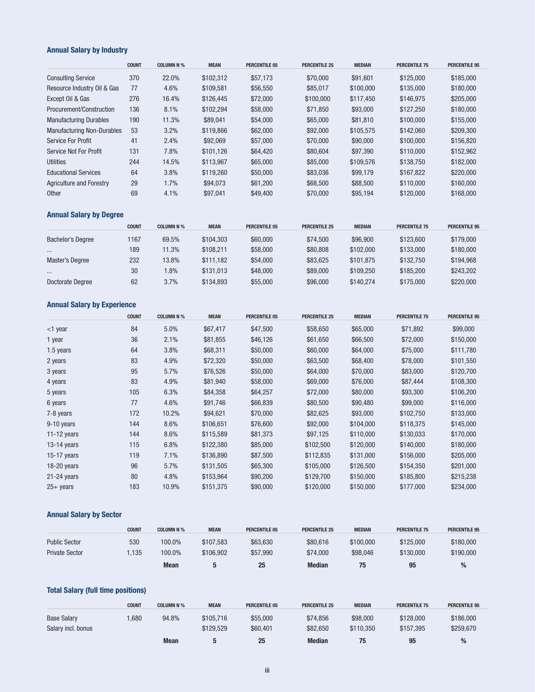# **Annual Salary by Industry**

|                                   | <b>COUNT</b> | <b>COLUMN N %</b> | <b>MEAN</b> | <b>PERCENTILE 05</b> | <b>PERCENTILE 25</b> | <b>MEDIAN</b> | <b>PERCENTILE 75</b> | <b>PERCENTILE 95</b> |
|-----------------------------------|--------------|-------------------|-------------|----------------------|----------------------|---------------|----------------------|----------------------|
| <b>Consulting Service</b>         | 370          | 22.0%             | \$102.312   | \$57.173             | \$70,000             | \$91,601      | \$125,000            | \$185,000            |
| Resource Industry Oil & Gas       | 77           | 4.6%              | \$109.581   | \$56,550             | \$85,017             | \$100,000     | \$135,000            | \$180,000            |
| Except Oil & Gas                  | 276          | 16.4%             | \$126,445   | \$72,000             | \$100,000            | \$117.450     | \$146.975            | \$205,000            |
| Procurement/Construction          | 136          | 8.1%              | \$102.294   | \$58,000             | \$71.850             | \$93,000      | \$127.250            | \$180,000            |
| <b>Manufacturing Durables</b>     | 190          | 11.3%             | \$89.041    | \$54,000             | \$65,000             | \$81,810      | \$100,000            | \$155,000            |
| <b>Manufacturing Non-Durables</b> | 53           | 3.2%              | \$119,866   | \$62,000             | \$92,000             | \$105.575     | \$142,060            | \$209.300            |
| Service For Profit                | 41           | 2.4%              | \$92,069    | \$57,000             | \$70,000             | \$90,000      | \$100,000            | \$156,820            |
| <b>Service Not For Profit</b>     | 131          | 7.8%              | \$101.126   | \$64,420             | \$80,604             | \$97,390      | \$110,000            | \$152,962            |
| <b>Utilities</b>                  | 244          | 14.5%             | \$113.967   | \$65,000             | \$85,000             | \$109.576     | \$138,750            | \$182,000            |
| <b>Educational Services</b>       | 64           | 3.8%              | \$119.260   | \$50,000             | \$83,036             | \$99,179      | \$167.822            | \$220,000            |
| <b>Agriculture and Forestry</b>   | 29           | 1.7%              | \$94,073    | \$61,200             | \$68,500             | \$88,500      | \$110,000            | \$160,000            |
| <b>Other</b>                      | 69           | 4.1%              | \$97,041    | \$49,400             | \$70,000             | \$95,194      | \$120,000            | \$168,000            |

# **Annual Salary by Degree**

|                   | <b>COUNT</b> | <b>COLUMN N %</b> | <b>MEAN</b> | <b>PERCENTILE 05</b> | <b>PERCENTILE 25</b> | <b>MEDIAN</b> | <b>PERCENTILE 75</b> | <b>PERCENTILE 95</b> |
|-------------------|--------------|-------------------|-------------|----------------------|----------------------|---------------|----------------------|----------------------|
| Bachelor's Degree | 1167         | 69.5%             | \$104.303   | \$60,000             | \$74.500             | \$96,900      | \$123,600            | \$179,000            |
| $\cdots$          | 189          | 11.3%             | \$108.211   | \$58,000             | \$80,808             | \$102,000     | \$133,000            | \$180,000            |
| Master's Degree   | 232          | 13.8%             | \$111.182   | \$54,000             | \$83.625             | \$101.875     | \$132.750            | \$194.968            |
| $\cdots$          | 30           | $.8\%$            | \$131.013   | \$48,000             | \$89,000             | \$109.250     | \$185,200            | \$243,202            |
| Doctorate Degree  | 62           | 3.7%              | \$134.893   | \$55,000             | \$96,000             | \$140.274     | \$175,000            | \$220,000            |

# **Annual Salary by Experience**

|               | <b>COUNT</b> | <b>COLUMN N %</b> | <b>MEAN</b> | <b>PERCENTILE 05</b> | <b>PERCENTILE 25</b> | <b>MEDIAN</b> | <b>PERCENTILE 75</b> | <b>PERCENTILE 95</b> |
|---------------|--------------|-------------------|-------------|----------------------|----------------------|---------------|----------------------|----------------------|
| $<$ 1 year    | 84           | 5.0%              | \$67,417    | \$47,500             | \$58,650             | \$65,000      | \$71,892             | \$99,000             |
| 1 year        | 36           | 2.1%              | \$81,855    | \$46,126             | \$61,650             | \$66,500      | \$72,000             | \$150,000            |
| 1.5 years     | 64           | 3.8%              | \$68,311    | \$50,000             | \$60,000             | \$64,000      | \$75,000             | \$111,780            |
| 2 years       | 83           | 4.9%              | \$72,320    | \$50,000             | \$63,500             | \$68,400      | \$78,000             | \$101,550            |
| 3 years       | 95           | 5.7%              | \$76,526    | \$50,000             | \$64,000             | \$70,000      | \$83,000             | \$120,700            |
| 4 years       | 83           | 4.9%              | \$81,940    | \$58,000             | \$69,000             | \$76,000      | \$87,444             | \$108,300            |
| 5 years       | 105          | 6.3%              | \$84,358    | \$64,257             | \$72,000             | \$80,000      | \$93,300             | \$106,200            |
| 6 years       | 77           | 4.6%              | \$91,746    | \$66,839             | \$80,500             | \$90,480      | \$99,000             | \$116,000            |
| 7-8 years     | 172          | 10.2%             | \$94,621    | \$70,000             | \$82,625             | \$93,000      | \$102,750            | \$133,000            |
| 9-10 years    | 144          | 8.6%              | \$106,651   | \$76,600             | \$92,000             | \$104,000     | \$118,375            | \$145,000            |
| 11-12 years   | 144          | 8.6%              | \$115,589   | \$81,373             | \$97,125             | \$110,000     | \$130,033            | \$170,000            |
| $13-14$ years | 115          | 6.8%              | \$122,380   | \$85,000             | \$102,500            | \$120,000     | \$140,000            | \$180,000            |
| 15-17 years   | 119          | 7.1%              | \$136,890   | \$87,500             | \$112,835            | \$131,000     | \$156,000            | \$205,000            |
| $18-20$ years | 96           | 5.7%              | \$131,505   | \$65,300             | \$105,000            | \$126,500     | \$154,350            | \$201,000            |
| $21-24$ years | 80           | 4.8%              | \$153,964   | \$90,200             | \$129,700            | \$150,000     | \$185,800            | \$215,238            |
| $25 + years$  | 183          | 10.9%             | \$151,375   | \$90,000             | \$120,000            | \$150,000     | \$177,000            | \$234,000            |

### **Annual Salary by Sector**

|                       | <b>COUNT</b> | <b>COLUMN N %</b> | <b>MEAN</b> | <b>PERCENTILE 05</b> | <b>PERCENTILE 25</b> | <b>MEDIAN</b> | <b>PERCENTILE 75</b> | <b>PERCENTILE 95</b> |
|-----------------------|--------------|-------------------|-------------|----------------------|----------------------|---------------|----------------------|----------------------|
| <b>Public Sector</b>  | 530          | 100.0%            | \$107.583   | \$63.630             | \$80,616             | \$100,000     | \$125,000            | \$180,000            |
| <b>Private Sector</b> | 135          | 100.0%            | \$106.902   | \$57.990             | \$74,000             | \$98,046      | \$130,000            | \$190,000            |
|                       |              | <b>Mean</b>       |             | 25                   | <b>Median</b>        |               | 95                   |                      |

# **Total Salary (full time positions)**

|                    | <b>COUNT</b> | <b>COLUMN N %</b> | <b>MEAN</b> | <b>PERCENTILE 05</b> | <b>PERCENTILE 25</b> | <b>MEDIAN</b> | <b>PERCENTILE 75</b> | <b>PERCENTILE 95</b> |
|--------------------|--------------|-------------------|-------------|----------------------|----------------------|---------------|----------------------|----------------------|
| <b>Base Salary</b> | .680         | 94.8%             | \$105.716   | \$55,000             | \$74.856             | \$98,000      | \$128,000            | \$186,000            |
| Salary incl. bonus |              |                   | \$129.529   | \$60,401             | \$82.650             | \$110.350     | \$157.395            | \$259,670            |
|                    |              | <b>Mean</b>       | b           | 25                   | <b>Median</b>        | 75            | 95                   | $\%$                 |